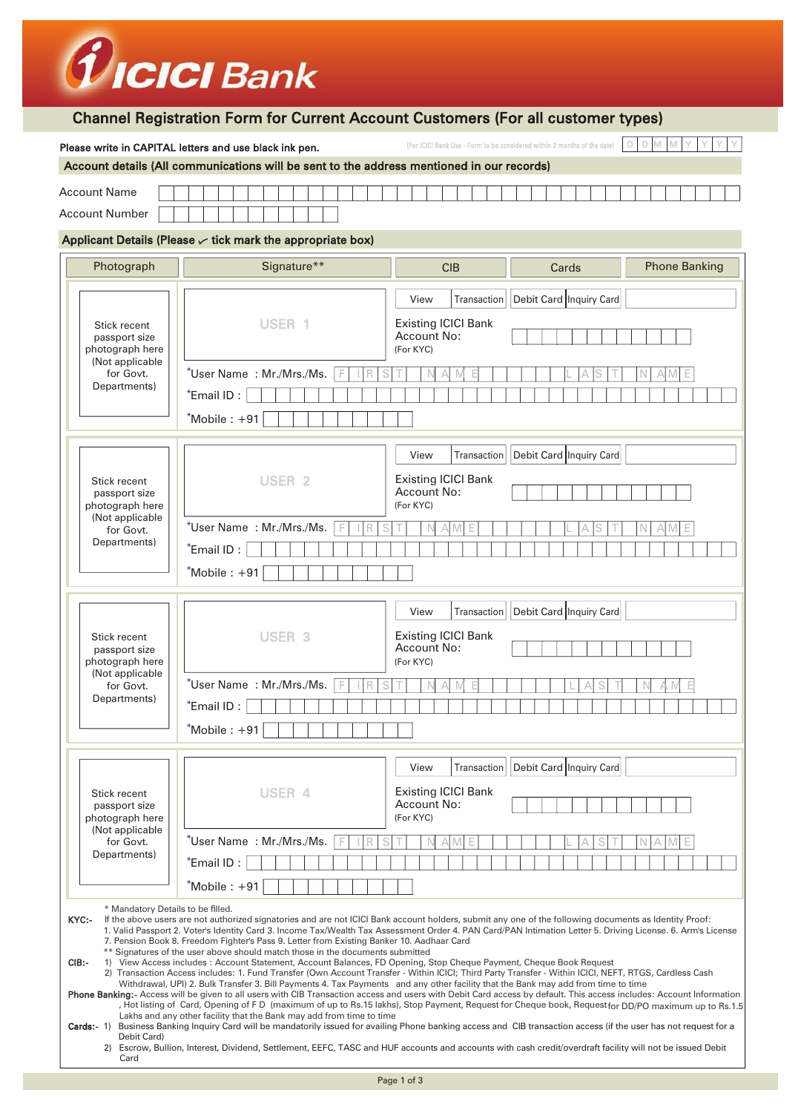|                                                                                                                                                                                                                                                                                                                                                                                                                                                                                                                                                                                                                                                                                                                                                                                                                                                                                                                                                                                                                                                                                                                                                                                                                                                                                                                                                                                                                                                                                                                                                                                                                                                                                                                                               | <i>U</i> ICICI Bank                                                                                                                                 |                                                                                         |  |  |
|-----------------------------------------------------------------------------------------------------------------------------------------------------------------------------------------------------------------------------------------------------------------------------------------------------------------------------------------------------------------------------------------------------------------------------------------------------------------------------------------------------------------------------------------------------------------------------------------------------------------------------------------------------------------------------------------------------------------------------------------------------------------------------------------------------------------------------------------------------------------------------------------------------------------------------------------------------------------------------------------------------------------------------------------------------------------------------------------------------------------------------------------------------------------------------------------------------------------------------------------------------------------------------------------------------------------------------------------------------------------------------------------------------------------------------------------------------------------------------------------------------------------------------------------------------------------------------------------------------------------------------------------------------------------------------------------------------------------------------------------------|-----------------------------------------------------------------------------------------------------------------------------------------------------|-----------------------------------------------------------------------------------------|--|--|
|                                                                                                                                                                                                                                                                                                                                                                                                                                                                                                                                                                                                                                                                                                                                                                                                                                                                                                                                                                                                                                                                                                                                                                                                                                                                                                                                                                                                                                                                                                                                                                                                                                                                                                                                               |                                                                                                                                                     | <b>Channel Registration Form for Current Account Customers (For all customer types)</b> |  |  |
|                                                                                                                                                                                                                                                                                                                                                                                                                                                                                                                                                                                                                                                                                                                                                                                                                                                                                                                                                                                                                                                                                                                                                                                                                                                                                                                                                                                                                                                                                                                                                                                                                                                                                                                                               | Please write in CAPITAL letters and use black ink pen.<br>Account details (All communications will be sent to the address mentioned in our records) | D<br>(For ICICI Bank Use - Form to be considered within 2 months of the date)           |  |  |
| <b>Account Name</b>                                                                                                                                                                                                                                                                                                                                                                                                                                                                                                                                                                                                                                                                                                                                                                                                                                                                                                                                                                                                                                                                                                                                                                                                                                                                                                                                                                                                                                                                                                                                                                                                                                                                                                                           |                                                                                                                                                     |                                                                                         |  |  |
| <b>Account Number</b>                                                                                                                                                                                                                                                                                                                                                                                                                                                                                                                                                                                                                                                                                                                                                                                                                                                                                                                                                                                                                                                                                                                                                                                                                                                                                                                                                                                                                                                                                                                                                                                                                                                                                                                         |                                                                                                                                                     |                                                                                         |  |  |
| Applicant Details (Please $\backsim$ tick mark the appropriate box)                                                                                                                                                                                                                                                                                                                                                                                                                                                                                                                                                                                                                                                                                                                                                                                                                                                                                                                                                                                                                                                                                                                                                                                                                                                                                                                                                                                                                                                                                                                                                                                                                                                                           |                                                                                                                                                     |                                                                                         |  |  |
| Photograph                                                                                                                                                                                                                                                                                                                                                                                                                                                                                                                                                                                                                                                                                                                                                                                                                                                                                                                                                                                                                                                                                                                                                                                                                                                                                                                                                                                                                                                                                                                                                                                                                                                                                                                                    | Signature**                                                                                                                                         | <b>Phone Banking</b><br><b>CIB</b><br>Cards                                             |  |  |
|                                                                                                                                                                                                                                                                                                                                                                                                                                                                                                                                                                                                                                                                                                                                                                                                                                                                                                                                                                                                                                                                                                                                                                                                                                                                                                                                                                                                                                                                                                                                                                                                                                                                                                                                               |                                                                                                                                                     | Debit Card Inquiry Card<br>Transaction<br>View                                          |  |  |
| Stick recent<br>passport size<br>photograph here                                                                                                                                                                                                                                                                                                                                                                                                                                                                                                                                                                                                                                                                                                                                                                                                                                                                                                                                                                                                                                                                                                                                                                                                                                                                                                                                                                                                                                                                                                                                                                                                                                                                                              | USER 1                                                                                                                                              | <b>Existing ICICI Bank</b><br><b>Account No:</b><br>(For KYC)                           |  |  |
| (Not applicable<br>for Govt.<br>Departments)                                                                                                                                                                                                                                                                                                                                                                                                                                                                                                                                                                                                                                                                                                                                                                                                                                                                                                                                                                                                                                                                                                                                                                                                                                                                                                                                                                                                                                                                                                                                                                                                                                                                                                  | *User Name: Mr./Mrs./Ms.<br>$"$ Email ID :<br>$*$ Mobile: $+91$                                                                                     |                                                                                         |  |  |
|                                                                                                                                                                                                                                                                                                                                                                                                                                                                                                                                                                                                                                                                                                                                                                                                                                                                                                                                                                                                                                                                                                                                                                                                                                                                                                                                                                                                                                                                                                                                                                                                                                                                                                                                               |                                                                                                                                                     | Debit Card Inquiry Card<br>View<br>Transaction                                          |  |  |
| Stick recent<br>passport size<br>photograph here<br>(Not applicable<br>for Govt.<br>Departments)                                                                                                                                                                                                                                                                                                                                                                                                                                                                                                                                                                                                                                                                                                                                                                                                                                                                                                                                                                                                                                                                                                                                                                                                                                                                                                                                                                                                                                                                                                                                                                                                                                              | USER <sub>2</sub>                                                                                                                                   | <b>Existing ICICI Bank</b><br>Account No:<br>(For KYC)                                  |  |  |
|                                                                                                                                                                                                                                                                                                                                                                                                                                                                                                                                                                                                                                                                                                                                                                                                                                                                                                                                                                                                                                                                                                                                                                                                                                                                                                                                                                                                                                                                                                                                                                                                                                                                                                                                               | *User Name: Mr./Mrs./Ms.<br>$"$ Email ID :<br>$*$ Mobile : $+91$                                                                                    |                                                                                         |  |  |
|                                                                                                                                                                                                                                                                                                                                                                                                                                                                                                                                                                                                                                                                                                                                                                                                                                                                                                                                                                                                                                                                                                                                                                                                                                                                                                                                                                                                                                                                                                                                                                                                                                                                                                                                               |                                                                                                                                                     | Debit Card Inquiry Card<br>View<br>Transaction                                          |  |  |
| Stick recent<br>passport size<br>photograph here<br>(Not applicable<br>for Govt.<br>Departments)                                                                                                                                                                                                                                                                                                                                                                                                                                                                                                                                                                                                                                                                                                                                                                                                                                                                                                                                                                                                                                                                                                                                                                                                                                                                                                                                                                                                                                                                                                                                                                                                                                              | USER <sub>3</sub>                                                                                                                                   | <b>Existing ICICI Bank</b><br><b>Account No:</b><br>(For KYC)                           |  |  |
|                                                                                                                                                                                                                                                                                                                                                                                                                                                                                                                                                                                                                                                                                                                                                                                                                                                                                                                                                                                                                                                                                                                                                                                                                                                                                                                                                                                                                                                                                                                                                                                                                                                                                                                                               | *User Name: Mr./Mrs./Ms.<br>$*$ Email ID:                                                                                                           |                                                                                         |  |  |
|                                                                                                                                                                                                                                                                                                                                                                                                                                                                                                                                                                                                                                                                                                                                                                                                                                                                                                                                                                                                                                                                                                                                                                                                                                                                                                                                                                                                                                                                                                                                                                                                                                                                                                                                               | $*$ Mobile: $+91$                                                                                                                                   |                                                                                         |  |  |
|                                                                                                                                                                                                                                                                                                                                                                                                                                                                                                                                                                                                                                                                                                                                                                                                                                                                                                                                                                                                                                                                                                                                                                                                                                                                                                                                                                                                                                                                                                                                                                                                                                                                                                                                               |                                                                                                                                                     | Debit Card Inquiry Card<br>View<br>Transaction                                          |  |  |
| Stick recent<br>passport size<br>photograph here<br>(Not applicable<br>for Govt.<br>Departments)                                                                                                                                                                                                                                                                                                                                                                                                                                                                                                                                                                                                                                                                                                                                                                                                                                                                                                                                                                                                                                                                                                                                                                                                                                                                                                                                                                                                                                                                                                                                                                                                                                              | USER 4                                                                                                                                              | <b>Existing ICICI Bank</b><br>Account No:<br>(For KYC)                                  |  |  |
|                                                                                                                                                                                                                                                                                                                                                                                                                                                                                                                                                                                                                                                                                                                                                                                                                                                                                                                                                                                                                                                                                                                                                                                                                                                                                                                                                                                                                                                                                                                                                                                                                                                                                                                                               | *User Name: Mr./Mrs./Ms.<br>$*$ Email ID:<br>$*$ Mobile: $+91$                                                                                      | S                                                                                       |  |  |
| * Mandatory Details to be filled.<br>KYC:-<br>If the above users are not authorized signatories and are not ICICI Bank account holders, submit any one of the following documents as Identity Proof:<br>1. Valid Passport 2. Voter's Identity Card 3. Income Tax/Wealth Tax Assessment Order 4. PAN Card/PAN Intimation Letter 5. Driving License. 6. Arm's License<br>7. Pension Book 8. Freedom Fighter's Pass 9. Letter from Existing Banker 10. Aadhaar Card<br>** Signatures of the user above should match those in the documents submitted<br>CIB:<br>1) View Access includes : Account Statement, Account Balances, FD Opening, Stop Cheque Payment, Cheque Book Request<br>2) Transaction Access includes: 1. Fund Transfer (Own Account Transfer - Within ICICI; Third Party Transfer - Within ICICI, NEFT, RTGS, Cardless Cash<br>Withdrawal, UPI) 2. Bulk Transfer 3. Bill Payments 4. Tax Payments and any other facility that the Bank may add from time to time<br>Phone Banking:- Access will be given to all users with CIB Transaction access and users with Debit Card access by default. This access includes: Account Information<br>Hot listing of Card, Opening of FD (maximum of up to Rs.15 lakhs), Stop Payment, Request for Cheque book, Request for DD/PO maximum up to Rs.1.5<br>Lakhs and any other facility that the Bank may add from time to time<br>Cards:- 1) Business Banking Inquiry Card will be mandatorily issued for availing Phone banking access and CIB transaction access (if the user has not request for a<br>Debit Card)<br>2) Escrow, Bullion, Interest, Dividend, Settlement, EEFC, TASC and HUF accounts and accounts with cash credit/overdraft facility will not be issued Debit<br>Card |                                                                                                                                                     |                                                                                         |  |  |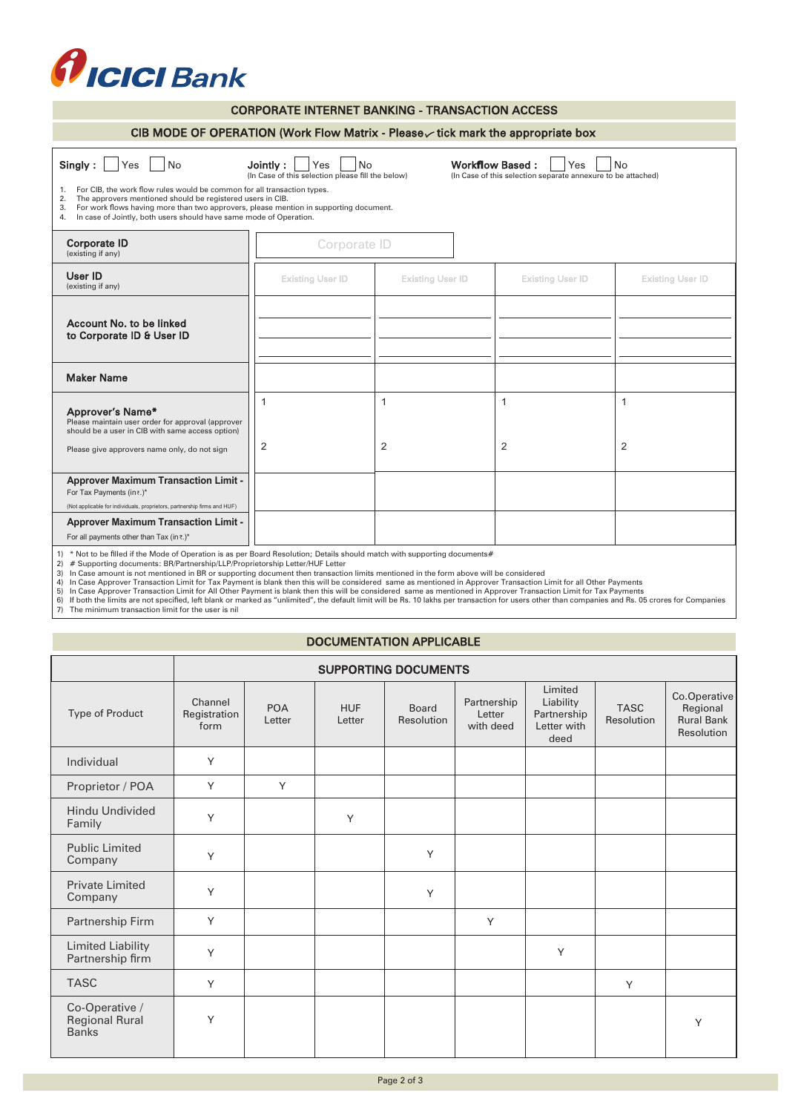

| <b>CORPORATE INTERNET BANKING - TRANSACTION ACCESS</b>                                                                                                                                                                                                                                                                                                                                                                                                                                                                                                         |                                |                         |                         |                         |
|----------------------------------------------------------------------------------------------------------------------------------------------------------------------------------------------------------------------------------------------------------------------------------------------------------------------------------------------------------------------------------------------------------------------------------------------------------------------------------------------------------------------------------------------------------------|--------------------------------|-------------------------|-------------------------|-------------------------|
| CIB MODE OF OPERATION (Work Flow Matrix - Please $\vee$ tick mark the appropriate box                                                                                                                                                                                                                                                                                                                                                                                                                                                                          |                                |                         |                         |                         |
| Singly:<br><b>No</b><br><b>Workflow Based:</b><br>Yes<br>Jointly:<br><b>No</b><br><b>No</b><br>Yes<br>Yes<br>(In Case of this selection please fill the below)<br>(In Case of this selection separate annexure to be attached)<br>For CIB, the work flow rules would be common for all transaction types.<br>1.<br>The approvers mentioned should be registered users in CIB.<br>2.<br>For work flows having more than two approvers, please mention in supporting document.<br>3.<br>In case of Jointly, both users should have same mode of Operation.<br>4. |                                |                         |                         |                         |
| <b>Corporate ID</b><br>(existing if any)                                                                                                                                                                                                                                                                                                                                                                                                                                                                                                                       | Corporate ID                   |                         |                         |                         |
| User ID<br>(existing if any)                                                                                                                                                                                                                                                                                                                                                                                                                                                                                                                                   | <b>Existing User ID</b>        | <b>Existing User ID</b> | <b>Existing User ID</b> | <b>Existing User ID</b> |
| Account No. to be linked<br>to Corporate ID & User ID                                                                                                                                                                                                                                                                                                                                                                                                                                                                                                          |                                |                         |                         |                         |
| <b>Maker Name</b>                                                                                                                                                                                                                                                                                                                                                                                                                                                                                                                                              |                                |                         |                         |                         |
| Approver's Name*<br>Please maintain user order for approval (approver<br>should be a user in CIB with same access option)<br>Please give approvers name only, do not sign                                                                                                                                                                                                                                                                                                                                                                                      | $\mathbf{1}$<br>$\overline{2}$ | $\mathbf{1}$<br>2       | $\mathbf{1}$<br>2       | 1<br>$\overline{2}$     |
| <b>Approver Maximum Transaction Limit -</b><br>For Tax Payments (in $\overline{\cdot}$ .)*<br>(Not applicable for individuals, proprietors, partnership firms and HUF)                                                                                                                                                                                                                                                                                                                                                                                         |                                |                         |                         |                         |
| <b>Approver Maximum Transaction Limit -</b><br>For all payments other than Tax (in ₹.)*<br>1) * Not to be filled if the Mode of Operation is as nor Reard Resolution: Details abould match with quanorting desumante#                                                                                                                                                                                                                                                                                                                                          |                                |                         |                         |                         |

1) \* Not to be filled if the Mode of Operation is as per Board Resolution; Details should match with supporting documents#<br>2) # Supporting documents: BR/Partnership/LLP/Proprietorship Letter/HUF Letter<br>3) In Case amount is

## DOCUMENTATION APPLICABLE

|                                                         |                                 |                      |                      | <b>SUPPORTING DOCUMENTS</b> |                                    |                                                            |                           |                                                             |
|---------------------------------------------------------|---------------------------------|----------------------|----------------------|-----------------------------|------------------------------------|------------------------------------------------------------|---------------------------|-------------------------------------------------------------|
| Type of Product                                         | Channel<br>Registration<br>form | <b>POA</b><br>Letter | <b>HUF</b><br>Letter | Board<br>Resolution         | Partnership<br>Letter<br>with deed | Limited<br>Liability<br>Partnership<br>Letter with<br>deed | <b>TASC</b><br>Resolution | Co.Operative<br>Regional<br><b>Rural Bank</b><br>Resolution |
| Individual                                              | Y                               |                      |                      |                             |                                    |                                                            |                           |                                                             |
| Proprietor / POA                                        | Y                               | Y                    |                      |                             |                                    |                                                            |                           |                                                             |
| <b>Hindu Undivided</b><br>Family                        | Y                               |                      | Υ                    |                             |                                    |                                                            |                           |                                                             |
| <b>Public Limited</b><br>Company                        | Y                               |                      |                      | Y                           |                                    |                                                            |                           |                                                             |
| <b>Private Limited</b><br>Company                       | Υ                               |                      |                      | Y                           |                                    |                                                            |                           |                                                             |
| Partnership Firm                                        | Y                               |                      |                      |                             | Y                                  |                                                            |                           |                                                             |
| <b>Limited Liability</b><br>Partnership firm            | Υ                               |                      |                      |                             |                                    | Y                                                          |                           |                                                             |
| <b>TASC</b>                                             | Y                               |                      |                      |                             |                                    |                                                            | Y                         |                                                             |
| Co-Operative /<br><b>Regional Rural</b><br><b>Banks</b> | Υ                               |                      |                      |                             |                                    |                                                            |                           | Y                                                           |